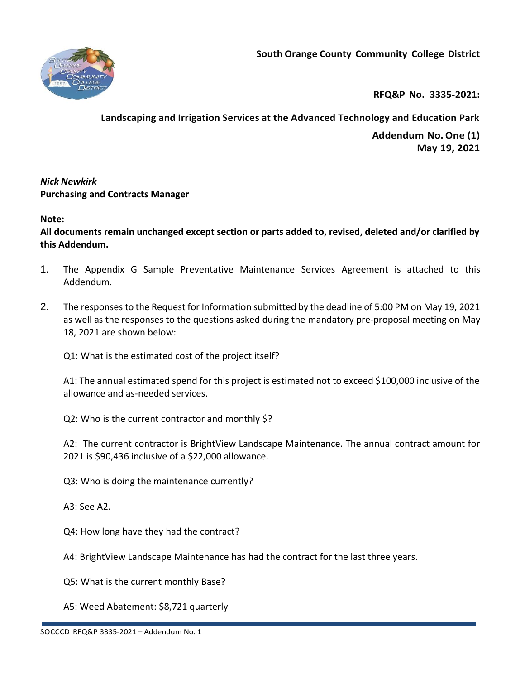



**RFQ&P No. 3335-2021:** 

# **Landscaping and Irrigation Services at the Advanced Technology and Education Park**

**Addendum No.One (1) May 19, 2021**

# *Nick Newkirk*  **Purchasing and Contracts Manager**

# **Note:**

**All documents remain unchanged except section or parts added to, revised, deleted and/or clarified by this Addendum.**

- 1. The Appendix G Sample Preventative Maintenance Services Agreement is attached to this Addendum.
- 2. The responses to the Request for Information submitted by the deadline of 5:00 PM on May 19, 2021 as well as the responses to the questions asked during the mandatory pre-proposal meeting on May 18, 2021 are shown below:

Q1: What is the estimated cost of the project itself?

A1: The annual estimated spend for this project is estimated not to exceed \$100,000 inclusive of the allowance and as-needed services.

Q2: Who is the current contractor and monthly \$?

A2: The current contractor is BrightView Landscape Maintenance. The annual contract amount for 2021 is \$90,436 inclusive of a \$22,000 allowance.

Q3: Who is doing the maintenance currently?

A3: See A2.

Q4: How long have they had the contract?

A4: BrightView Landscape Maintenance has had the contract for the last three years.

Q5: What is the current monthly Base?

A5: Weed Abatement: \$8,721 quarterly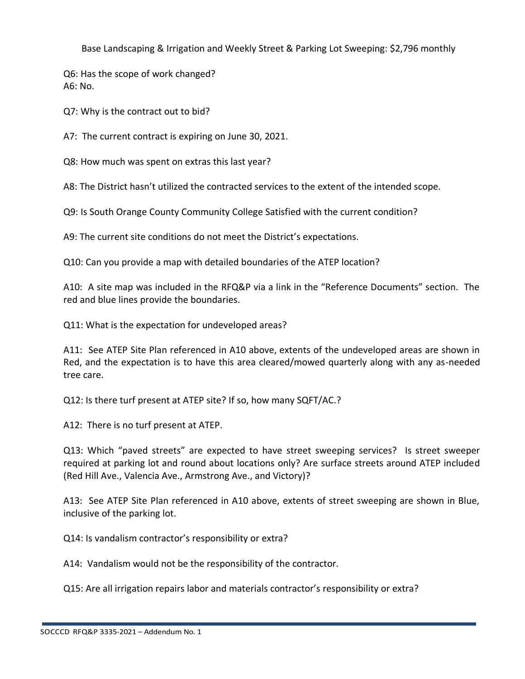Base Landscaping & Irrigation and Weekly Street & Parking Lot Sweeping: \$2,796 monthly

Q6: Has the scope of work changed? A6: No.

Q7: Why is the contract out to bid?

A7: The current contract is expiring on June 30, 2021.

Q8: How much was spent on extras this last year?

A8: The District hasn't utilized the contracted services to the extent of the intended scope.

Q9: Is South Orange County Community College Satisfied with the current condition?

A9: The current site conditions do not meet the District's expectations.

Q10: Can you provide a map with detailed boundaries of the ATEP location?

A10: A site map was included in the RFQ&P via a link in the "Reference Documents" section. The red and blue lines provide the boundaries.

Q11: What is the expectation for undeveloped areas?

A11: See ATEP Site Plan referenced in A10 above, extents of the undeveloped areas are shown in Red, and the expectation is to have this area cleared/mowed quarterly along with any as-needed tree care.

Q12: Is there turf present at ATEP site? If so, how many SQFT/AC.?

A12: There is no turf present at ATEP.

Q13: Which "paved streets" are expected to have street sweeping services? Is street sweeper required at parking lot and round about locations only? Are surface streets around ATEP included (Red Hill Ave., Valencia Ave., Armstrong Ave., and Victory)?

A13: See ATEP Site Plan referenced in A10 above, extents of street sweeping are shown in Blue, inclusive of the parking lot.

Q14: Is vandalism contractor's responsibility or extra?

A14: Vandalism would not be the responsibility of the contractor.

Q15: Are all irrigation repairs labor and materials contractor's responsibility or extra?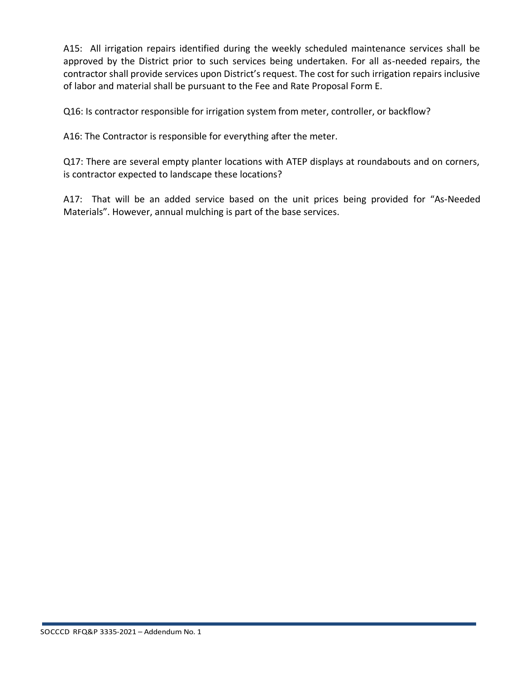A15: All irrigation repairs identified during the weekly scheduled maintenance services shall be approved by the District prior to such services being undertaken. For all as-needed repairs, the contractor shall provide services upon District's request. The cost for such irrigation repairs inclusive of labor and material shall be pursuant to the Fee and Rate Proposal Form E.

Q16: Is contractor responsible for irrigation system from meter, controller, or backflow?

A16: The Contractor is responsible for everything after the meter.

Q17: There are several empty planter locations with ATEP displays at roundabouts and on corners, is contractor expected to landscape these locations?

A17: That will be an added service based on the unit prices being provided for "As-Needed Materials". However, annual mulching is part of the base services.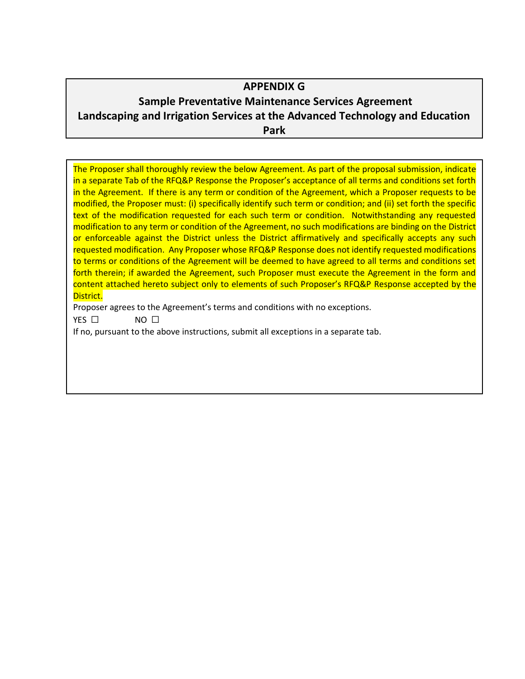# **APPENDIX G**

# **Sample Preventative Maintenance Services Agreement Landscaping and Irrigation Services at the Advanced Technology and Education Park**

The Proposer shall thoroughly review the below Agreement. As part of the proposal submission, indicate in a separate Tab of the RFQ&P Response the Proposer's acceptance of all terms and conditions set forth in the Agreement. If there is any term or condition of the Agreement, which a Proposer requests to be modified, the Proposer must: (i) specifically identify such term or condition; and (ii) set forth the specific text of the modification requested for each such term or condition. Notwithstanding any requested modification to any term or condition of the Agreement, no such modifications are binding on the District or enforceable against the District unless the District affirmatively and specifically accepts any such requested modification. Any Proposer whose RFQ&P Response does not identify requested modifications to terms or conditions of the Agreement will be deemed to have agreed to all terms and conditions set forth therein; if awarded the Agreement, such Proposer must execute the Agreement in the form and content attached hereto subject only to elements of such Proposer's RFQ&P Response accepted by the District.

Proposer agrees to the Agreement's terms and conditions with no exceptions.

YES □ NO □

If no, pursuant to the above instructions, submit all exceptions in a separate tab.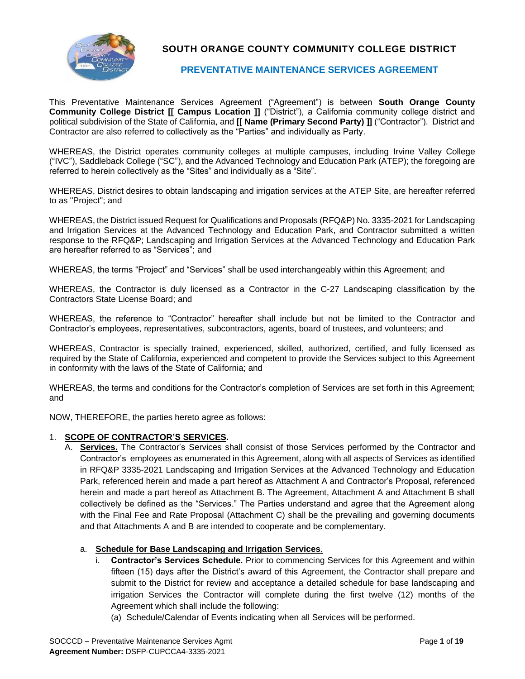

# **SOUTH ORANGE COUNTY COMMUNITY COLLEGE DISTRICT**

### **PREVENTATIVE MAINTENANCE SERVICES AGREEMENT**

This Preventative Maintenance Services Agreement ("Agreement") is between **South Orange County Community College District [[ Campus Location ]]** ("District"), a California community college district and political subdivision of the State of California, and **[[ Name (Primary Second Party) ]]** ("Contractor"). District and Contractor are also referred to collectively as the "Parties" and individually as Party.

WHEREAS, the District operates community colleges at multiple campuses, including Irvine Valley College ("IVC"), Saddleback College ("SC"), and the Advanced Technology and Education Park (ATEP); the foregoing are referred to herein collectively as the "Sites" and individually as a "Site".

WHEREAS, District desires to obtain landscaping and irrigation services at the ATEP Site, are hereafter referred to as "Project"; and

WHEREAS, the District issued Request for Qualifications and Proposals (RFQ&P) No. 3335-2021 for Landscaping and Irrigation Services at the Advanced Technology and Education Park, and Contractor submitted a written response to the RFQ&P; Landscaping and Irrigation Services at the Advanced Technology and Education Park are hereafter referred to as "Services"; and

WHEREAS, the terms "Project" and "Services" shall be used interchangeably within this Agreement; and

WHEREAS, the Contractor is duly licensed as a Contractor in the C-27 Landscaping classification by the Contractors State License Board; and

WHEREAS, the reference to "Contractor" hereafter shall include but not be limited to the Contractor and Contractor's employees, representatives, subcontractors, agents, board of trustees, and volunteers; and

WHEREAS, Contractor is specially trained, experienced, skilled, authorized, certified, and fully licensed as required by the State of California, experienced and competent to provide the Services subject to this Agreement in conformity with the laws of the State of California; and

WHEREAS, the terms and conditions for the Contractor's completion of Services are set forth in this Agreement; and

NOW, THEREFORE, the parties hereto agree as follows:

#### 1. **SCOPE OF CONTRACTOR'S SERVICES.**

A. **Services.** The Contractor's Services shall consist of those Services performed by the Contractor and Contractor's employees as enumerated in this Agreement, along with all aspects of Services as identified in RFQ&P 3335-2021 Landscaping and Irrigation Services at the Advanced Technology and Education Park, referenced herein and made a part hereof as Attachment A and Contractor's Proposal, referenced herein and made a part hereof as Attachment B. The Agreement, Attachment A and Attachment B shall collectively be defined as the "Services." The Parties understand and agree that the Agreement along with the Final Fee and Rate Proposal (Attachment C) shall be the prevailing and governing documents and that Attachments A and B are intended to cooperate and be complementary.

### a. **Schedule for Base Landscaping and Irrigation Services**.

- i. **Contractor's Services Schedule.** Prior to commencing Services for this Agreement and within fifteen (15) days after the District's award of this Agreement, the Contractor shall prepare and submit to the District for review and acceptance a detailed schedule for base landscaping and irrigation Services the Contractor will complete during the first twelve (12) months of the Agreement which shall include the following:
	- (a) Schedule/Calendar of Events indicating when all Services will be performed.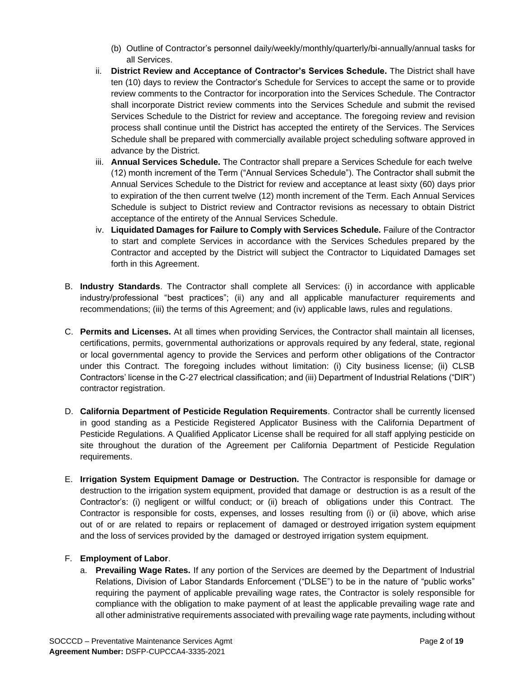- (b) Outline of Contractor's personnel daily/weekly/monthly/quarterly/bi-annually/annual tasks for all Services.
- ii. **District Review and Acceptance of Contractor's Services Schedule.** The District shall have ten (10) days to review the Contractor's Schedule for Services to accept the same or to provide review comments to the Contractor for incorporation into the Services Schedule. The Contractor shall incorporate District review comments into the Services Schedule and submit the revised Services Schedule to the District for review and acceptance. The foregoing review and revision process shall continue until the District has accepted the entirety of the Services. The Services Schedule shall be prepared with commercially available project scheduling software approved in advance by the District.
- iii. **Annual Services Schedule.** The Contractor shall prepare a Services Schedule for each twelve (12) month increment of the Term ("Annual Services Schedule"). The Contractor shall submit the Annual Services Schedule to the District for review and acceptance at least sixty (60) days prior to expiration of the then current twelve (12) month increment of the Term. Each Annual Services Schedule is subject to District review and Contractor revisions as necessary to obtain District acceptance of the entirety of the Annual Services Schedule.
- iv. **Liquidated Damages for Failure to Comply with Services Schedule.** Failure of the Contractor to start and complete Services in accordance with the Services Schedules prepared by the Contractor and accepted by the District will subject the Contractor to Liquidated Damages set forth in this Agreement.
- B. **Industry Standards**. The Contractor shall complete all Services: (i) in accordance with applicable industry/professional "best practices"; (ii) any and all applicable manufacturer requirements and recommendations; (iii) the terms of this Agreement; and (iv) applicable laws, rules and regulations.
- C. **Permits and Licenses.** At all times when providing Services, the Contractor shall maintain all licenses, certifications, permits, governmental authorizations or approvals required by any federal, state, regional or local governmental agency to provide the Services and perform other obligations of the Contractor under this Contract. The foregoing includes without limitation: (i) City business license; (ii) CLSB Contractors' license in the C-27 electrical classification; and (iii) Department of Industrial Relations ("DIR") contractor registration.
- D. **California Department of Pesticide Regulation Requirements**. Contractor shall be currently licensed in good standing as a Pesticide Registered Applicator Business with the California Department of Pesticide Regulations. A Qualified Applicator License shall be required for all staff applying pesticide on site throughout the duration of the Agreement per California Department of Pesticide Regulation requirements.
- E. **Irrigation System Equipment Damage or Destruction.** The Contractor is responsible for damage or destruction to the irrigation system equipment, provided that damage or destruction is as a result of the Contractor's: (i) negligent or willful conduct; or (ii) breach of obligations under this Contract. The Contractor is responsible for costs, expenses, and losses resulting from (i) or (ii) above, which arise out of or are related to repairs or replacement of damaged or destroyed irrigation system equipment and the loss of services provided by the damaged or destroyed irrigation system equipment.

### F. **Employment of Labor**.

a. **Prevailing Wage Rates.** If any portion of the Services are deemed by the Department of Industrial Relations, Division of Labor Standards Enforcement ("DLSE") to be in the nature of "public works" requiring the payment of applicable prevailing wage rates, the Contractor is solely responsible for compliance with the obligation to make payment of at least the applicable prevailing wage rate and all other administrative requirements associated with prevailing wage rate payments, including without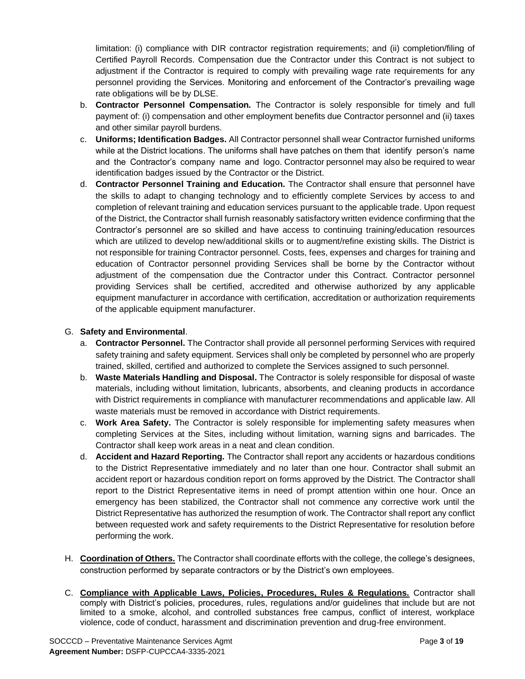limitation: (i) compliance with DIR contractor registration requirements; and (ii) completion/filing of Certified Payroll Records. Compensation due the Contractor under this Contract is not subject to adjustment if the Contractor is required to comply with prevailing wage rate requirements for any personnel providing the Services. Monitoring and enforcement of the Contractor's prevailing wage rate obligations will be by DLSE.

- b. **Contractor Personnel Compensation***.* The Contractor is solely responsible for timely and full payment of: (i) compensation and other employment benefits due Contractor personnel and (ii) taxes and other similar payroll burdens.
- c. **Uniforms; Identification Badges.** All Contractor personnel shall wear Contractor furnished uniforms while at the District locations. The uniforms shall have patches on them that identify person's name and the Contractor's company name and logo. Contractor personnel may also be required to wear identification badges issued by the Contractor or the District.
- d. **Contractor Personnel Training and Education.** The Contractor shall ensure that personnel have the skills to adapt to changing technology and to efficiently complete Services by access to and completion of relevant training and education services pursuant to the applicable trade. Upon request of the District, the Contractor shall furnish reasonably satisfactory written evidence confirming that the Contractor's personnel are so skilled and have access to continuing training/education resources which are utilized to develop new/additional skills or to augment/refine existing skills. The District is not responsible for training Contractor personnel. Costs, fees, expenses and charges for training and education of Contractor personnel providing Services shall be borne by the Contractor without adjustment of the compensation due the Contractor under this Contract. Contractor personnel providing Services shall be certified, accredited and otherwise authorized by any applicable equipment manufacturer in accordance with certification, accreditation or authorization requirements of the applicable equipment manufacturer.

#### G. **Safety and Environmental**.

- a. **Contractor Personnel.** The Contractor shall provide all personnel performing Services with required safety training and safety equipment. Services shall only be completed by personnel who are properly trained, skilled, certified and authorized to complete the Services assigned to such personnel.
- b. **Waste Materials Handling and Disposal.** The Contractor is solely responsible for disposal of waste materials, including without limitation, lubricants, absorbents, and cleaning products in accordance with District requirements in compliance with manufacturer recommendations and applicable law. All waste materials must be removed in accordance with District requirements.
- c. **Work Area Safety.** The Contractor is solely responsible for implementing safety measures when completing Services at the Sites, including without limitation, warning signs and barricades. The Contractor shall keep work areas in a neat and clean condition.
- d. **Accident and Hazard Reporting.** The Contractor shall report any accidents or hazardous conditions to the District Representative immediately and no later than one hour. Contractor shall submit an accident report or hazardous condition report on forms approved by the District. The Contractor shall report to the District Representative items in need of prompt attention within one hour. Once an emergency has been stabilized, the Contractor shall not commence any corrective work until the District Representative has authorized the resumption of work. The Contractor shall report any conflict between requested work and safety requirements to the District Representative for resolution before performing the work.
- H. **Coordination of Others.** The Contractor shall coordinate efforts with the college, the college's designees, construction performed by separate contractors or by the District's own employees.
- C. **Compliance with Applicable Laws, Policies, Procedures, Rules & Regulations.** Contractor shall comply with District's policies, procedures, rules, regulations and/or guidelines that include but are not limited to a smoke, alcohol, and controlled substances free campus, conflict of interest, workplace violence, code of conduct, harassment and discrimination prevention and drug-free environment.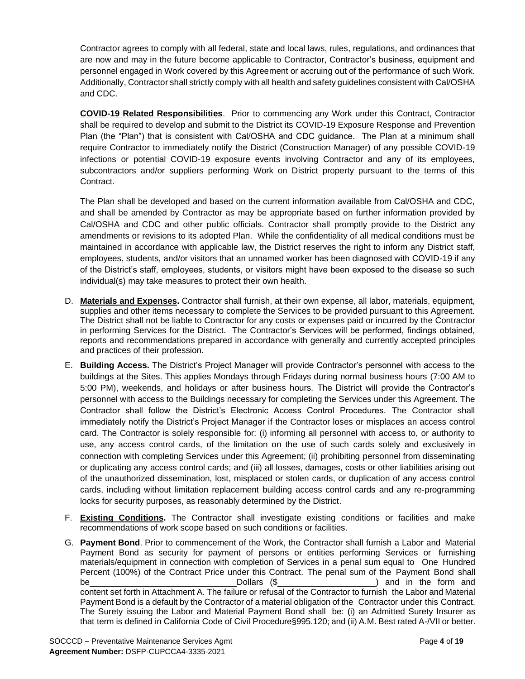Contractor agrees to comply with all federal, state and local laws, rules, regulations, and ordinances that are now and may in the future become applicable to Contractor, Contractor's business, equipment and personnel engaged in Work covered by this Agreement or accruing out of the performance of such Work. Additionally, Contractor shall strictly comply with all health and safety guidelines consistent with Cal/OSHA and CDC.

**COVID-19 Related Responsibilities**. Prior to commencing any Work under this Contract, Contractor shall be required to develop and submit to the District its COVID-19 Exposure Response and Prevention Plan (the "Plan") that is consistent with Cal/OSHA and CDC guidance. The Plan at a minimum shall require Contractor to immediately notify the District (Construction Manager) of any possible COVID-19 infections or potential COVID-19 exposure events involving Contractor and any of its employees, subcontractors and/or suppliers performing Work on District property pursuant to the terms of this Contract.

The Plan shall be developed and based on the current information available from Cal/OSHA and CDC, and shall be amended by Contractor as may be appropriate based on further information provided by Cal/OSHA and CDC and other public officials. Contractor shall promptly provide to the District any amendments or revisions to its adopted Plan. While the confidentiality of all medical conditions must be maintained in accordance with applicable law, the District reserves the right to inform any District staff, employees, students, and/or visitors that an unnamed worker has been diagnosed with COVID-19 if any of the District's staff, employees, students, or visitors might have been exposed to the disease so such individual(s) may take measures to protect their own health.

- D. **Materials and Expenses.** Contractor shall furnish, at their own expense, all labor, materials, equipment, supplies and other items necessary to complete the Services to be provided pursuant to this Agreement. The District shall not be liable to Contractor for any costs or expenses paid or incurred by the Contractor in performing Services for the District. The Contractor's Services will be performed, findings obtained, reports and recommendations prepared in accordance with generally and currently accepted principles and practices of their profession.
- E. **Building Access.** The District's Project Manager will provide Contractor's personnel with access to the buildings at the Sites. This applies Mondays through Fridays during normal business hours (7:00 AM to 5:00 PM), weekends, and holidays or after business hours. The District will provide the Contractor's personnel with access to the Buildings necessary for completing the Services under this Agreement. The Contractor shall follow the District's Electronic Access Control Procedures. The Contractor shall immediately notify the District's Project Manager if the Contractor loses or misplaces an access control card. The Contractor is solely responsible for: (i) informing all personnel with access to, or authority to use, any access control cards, of the limitation on the use of such cards solely and exclusively in connection with completing Services under this Agreement; (ii) prohibiting personnel from disseminating or duplicating any access control cards; and (iii) all losses, damages, costs or other liabilities arising out of the unauthorized dissemination, lost, misplaced or stolen cards, or duplication of any access control cards, including without limitation replacement building access control cards and any re-programming locks for security purposes, as reasonably determined by the District.
- F. **Existing Conditions.** The Contractor shall investigate existing conditions or facilities and make recommendations of work scope based on such conditions or facilities.
- G. **Payment Bond**. Prior to commencement of the Work, the Contractor shall furnish a Labor and Material Payment Bond as security for payment of persons or entities performing Services or furnishing materials/equipment in connection with completion of Services in a penal sum equal to One Hundred Percent (100%) of the Contract Price under this Contract. The penal sum of the Payment Bond shall be the contract of the Dollars (\$  $\sim$  ) and in the form and in the form and in the form and in the form and in the form and in the form and in the form and in the form and in the form and in the form and in the form and i content set forth in Attachment A. The failure or refusal of the Contractor to furnish the Labor and Material Payment Bond is a default by the Contractor of a material obligation of the Contractor under this Contract. The Surety issuing the Labor and Material Payment Bond shall be: (i) an Admitted Surety Insurer as that term is defined in California Code of Civil Procedure§995.120; and (ii) A.M. Best rated A-/VII or better.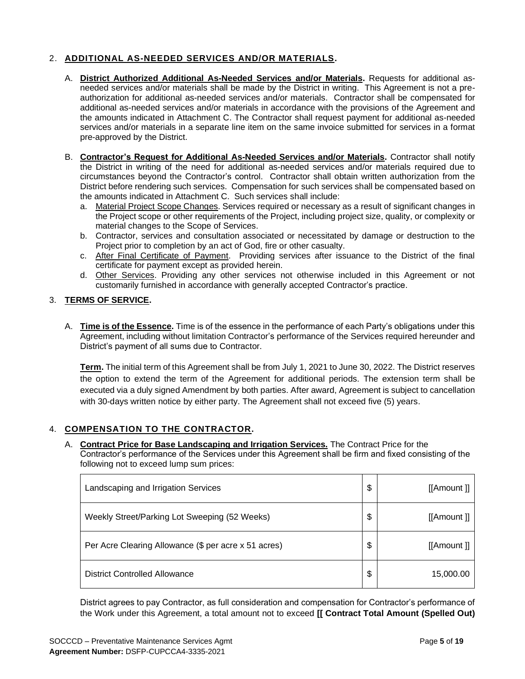## 2. **ADDITIONAL AS-NEEDED SERVICES AND/OR MATERIALS.**

- A. **District Authorized Additional As-Needed Services and/or Materials.** Requests for additional asneeded services and/or materials shall be made by the District in writing. This Agreement is not a preauthorization for additional as-needed services and/or materials. Contractor shall be compensated for additional as-needed services and/or materials in accordance with the provisions of the Agreement and the amounts indicated in Attachment C. The Contractor shall request payment for additional as-needed services and/or materials in a separate line item on the same invoice submitted for services in a format pre-approved by the District.
- B. **Contractor's Request for Additional As-Needed Services and/or Materials.** Contractor shall notify the District in writing of the need for additional as-needed services and/or materials required due to circumstances beyond the Contractor's control. Contractor shall obtain written authorization from the District before rendering such services. Compensation for such services shall be compensated based on the amounts indicated in Attachment C. Such services shall include:
	- a. Material Project Scope Changes. Services required or necessary as a result of significant changes in the Project scope or other requirements of the Project, including project size, quality, or complexity or material changes to the Scope of Services.
	- b. Contractor, services and consultation associated or necessitated by damage or destruction to the Project prior to completion by an act of God, fire or other casualty.
	- c. After Final Certificate of Payment. Providing services after issuance to the District of the final certificate for payment except as provided herein.
	- d. Other Services. Providing any other services not otherwise included in this Agreement or not customarily furnished in accordance with generally accepted Contractor's practice.

### 3. **TERMS OF SERVICE.**

A. **Time is of the Essence.** Time is of the essence in the performance of each Party's obligations under this Agreement, including without limitation Contractor's performance of the Services required hereunder and District's payment of all sums due to Contractor.

**Term.** The initial term of this Agreement shall be from July 1, 2021 to June 30, 2022. The District reserves the option to extend the term of the Agreement for additional periods. The extension term shall be executed via a duly signed Amendment by both parties. After award, Agreement is subject to cancellation with 30-days written notice by either party. The Agreement shall not exceed five (5) years.

### 4. **COMPENSATION TO THE CONTRACTOR.**

A. **Contract Price for Base Landscaping and Irrigation Services.** The Contract Price for the Contractor's performance of the Services under this Agreement shall be firm and fixed consisting of the following not to exceed lump sum prices:

| Landscaping and Irrigation Services                  | \$<br>[[Amount]] |
|------------------------------------------------------|------------------|
| Weekly Street/Parking Lot Sweeping (52 Weeks)        | \$<br>[[Amount]] |
| Per Acre Clearing Allowance (\$ per acre x 51 acres) | \$<br>[[Amount]] |
| <b>District Controlled Allowance</b>                 | \$<br>15,000.00  |

District agrees to pay Contractor, as full consideration and compensation for Contractor's performance of the Work under this Agreement, a total amount not to exceed **[[ Contract Total Amount (Spelled Out)**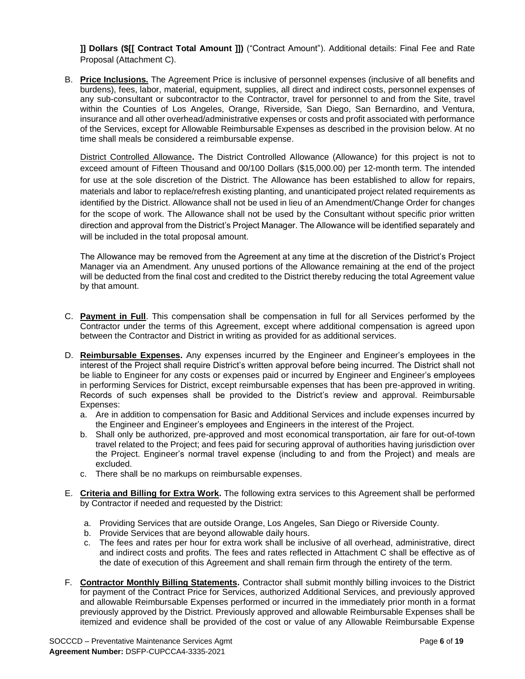**]] Dollars (\$[[ Contract Total Amount ]])** ("Contract Amount"). Additional details: Final Fee and Rate Proposal (Attachment C).

B. **Price Inclusions.** The Agreement Price is inclusive of personnel expenses (inclusive of all benefits and burdens), fees, labor, material, equipment, supplies, all direct and indirect costs, personnel expenses of any sub-consultant or subcontractor to the Contractor, travel for personnel to and from the Site, travel within the Counties of Los Angeles, Orange, Riverside, San Diego, San Bernardino, and Ventura, insurance and all other overhead/administrative expenses or costs and profit associated with performance of the Services, except for Allowable Reimbursable Expenses as described in the provision below. At no time shall meals be considered a reimbursable expense.

District Controlled Allowance**.** The District Controlled Allowance (Allowance) for this project is not to exceed amount of Fifteen Thousand and 00/100 Dollars (\$15,000.00) per 12-month term. The intended for use at the sole discretion of the District. The Allowance has been established to allow for repairs, materials and labor to replace/refresh existing planting, and unanticipated project related requirements as identified by the District. Allowance shall not be used in lieu of an Amendment/Change Order for changes for the scope of work. The Allowance shall not be used by the Consultant without specific prior written direction and approval from the District's Project Manager. The Allowance will be identified separately and will be included in the total proposal amount.

The Allowance may be removed from the Agreement at any time at the discretion of the District's Project Manager via an Amendment. Any unused portions of the Allowance remaining at the end of the project will be deducted from the final cost and credited to the District thereby reducing the total Agreement value by that amount.

- C. **Payment in Full**. This compensation shall be compensation in full for all Services performed by the Contractor under the terms of this Agreement, except where additional compensation is agreed upon between the Contractor and District in writing as provided for as additional services.
- D. **Reimbursable Expenses.** Any expenses incurred by the Engineer and Engineer's employees in the interest of the Project shall require District's written approval before being incurred. The District shall not be liable to Engineer for any costs or expenses paid or incurred by Engineer and Engineer's employees in performing Services for District, except reimbursable expenses that has been pre-approved in writing. Records of such expenses shall be provided to the District's review and approval. Reimbursable Expenses:
	- a. Are in addition to compensation for Basic and Additional Services and include expenses incurred by the Engineer and Engineer's employees and Engineers in the interest of the Project.
	- b. Shall only be authorized, pre-approved and most economical transportation, air fare for out-of-town travel related to the Project; and fees paid for securing approval of authorities having jurisdiction over the Project. Engineer's normal travel expense (including to and from the Project) and meals are excluded.
	- c. There shall be no markups on reimbursable expenses.
- E. **Criteria and Billing for Extra Work.** The following extra services to this Agreement shall be performed by Contractor if needed and requested by the District:
	- a. Providing Services that are outside Orange, Los Angeles, San Diego or Riverside County.
	- b. Provide Services that are beyond allowable daily hours.
	- c. The fees and rates per hour for extra work shall be inclusive of all overhead, administrative, direct and indirect costs and profits. The fees and rates reflected in Attachment C shall be effective as of the date of execution of this Agreement and shall remain firm through the entirety of the term.
- F. **Contractor Monthly Billing Statements.** Contractor shall submit monthly billing invoices to the District for payment of the Contract Price for Services, authorized Additional Services, and previously approved and allowable Reimbursable Expenses performed or incurred in the immediately prior month in a format previously approved by the District. Previously approved and allowable Reimbursable Expenses shall be itemized and evidence shall be provided of the cost or value of any Allowable Reimbursable Expense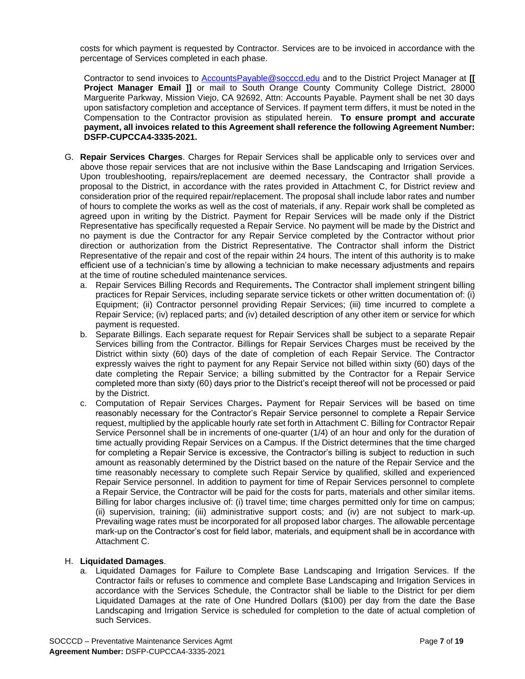costs for which payment is requested by Contractor. Services are to be invoiced in accordance with the percentage of Services completed in each phase.

Contractor to send invoices to [AccountsPayable@socccd.edu](mailto:AccountsPayable@socccd.edu) and to the District Project Manager at **[[ Project Manager Email ]]** or mail to South Orange County Community College District, 28000 Marguerite Parkway, Mission Viejo, CA 92692, Attn: Accounts Payable. Payment shall be net 30 days upon satisfactory completion and acceptance of Services. If payment term differs, it must be noted in the Compensation to the Contractor provision as stipulated herein. **To ensure prompt and accurate payment, all invoices related to this Agreement shall reference the following Agreement Number: DSFP-CUPCCA4-3335-2021.**

- G. **Repair Services Charges**. Charges for Repair Services shall be applicable only to services over and above those repair services that are not inclusive within the Base Landscaping and Irrigation Services. Upon troubleshooting, repairs/replacement are deemed necessary, the Contractor shall provide a proposal to the District, in accordance with the rates provided in Attachment C, for District review and consideration prior of the required repair/replacement. The proposal shall include labor rates and number of hours to complete the works as well as the cost of materials, if any. Repair work shall be completed as agreed upon in writing by the District. Payment for Repair Services will be made only if the District Representative has specifically requested a Repair Service. No payment will be made by the District and no payment is due the Contractor for any Repair Service completed by the Contractor without prior direction or authorization from the District Representative. The Contractor shall inform the District Representative of the repair and cost of the repair within 24 hours. The intent of this authority is to make efficient use of a technician's time by allowing a technician to make necessary adjustments and repairs at the time of routine scheduled maintenance services.
	- a. Repair Services Billing Records and Requirements**.** The Contractor shall implement stringent billing practices for Repair Services, including separate service tickets or other written documentation of: (i) Equipment; (ii) Contractor personnel providing Repair Services; (iii) time incurred to complete a Repair Service; (iv) replaced parts; and (iv) detailed description of any other item or service for which payment is requested.
	- b. Separate Billings. Each separate request for Repair Services shall be subject to a separate Repair Services billing from the Contractor. Billings for Repair Services Charges must be received by the District within sixty (60) days of the date of completion of each Repair Service. The Contractor expressly waives the right to payment for any Repair Service not billed within sixty (60) days of the date completing the Repair Service; a billing submitted by the Contractor for a Repair Service completed more than sixty (60) days prior to the District's receipt thereof will not be processed or paid by the District.
	- c. Computation of Repair Services Charges**.** Payment for Repair Services will be based on time reasonably necessary for the Contractor's Repair Service personnel to complete a Repair Service request, multiplied by the applicable hourly rate set forth in Attachment C. Billing for Contractor Repair Service Personnel shall be in increments of one-quarter (1/4) of an hour and only for the duration of time actually providing Repair Services on a Campus. If the District determines that the time charged for completing a Repair Service is excessive, the Contractor's billing is subject to reduction in such amount as reasonably determined by the District based on the nature of the Repair Service and the time reasonably necessary to complete such Repair Service by qualified, skilled and experienced Repair Service personnel. In addition to payment for time of Repair Services personnel to complete a Repair Service, the Contractor will be paid for the costs for parts, materials and other similar items. Billing for labor charges inclusive of: (i) travel time; time charges permitted only for time on campus; (ii) supervision, training; (iii) administrative support costs; and (iv) are not subject to mark-up. Prevailing wage rates must be incorporated for all proposed labor charges. The allowable percentage mark-up on the Contractor's cost for field labor, materials, and equipment shall be in accordance with Attachment C.

#### H. **Liquidated Damages**.

a. Liquidated Damages for Failure to Complete Base Landscaping and Irrigation Services. If the Contractor fails or refuses to commence and complete Base Landscaping and Irrigation Services in accordance with the Services Schedule, the Contractor shall be liable to the District for per diem Liquidated Damages at the rate of One Hundred Dollars (\$100) per day from the date the Base Landscaping and Irrigation Service is scheduled for completion to the date of actual completion of such Services.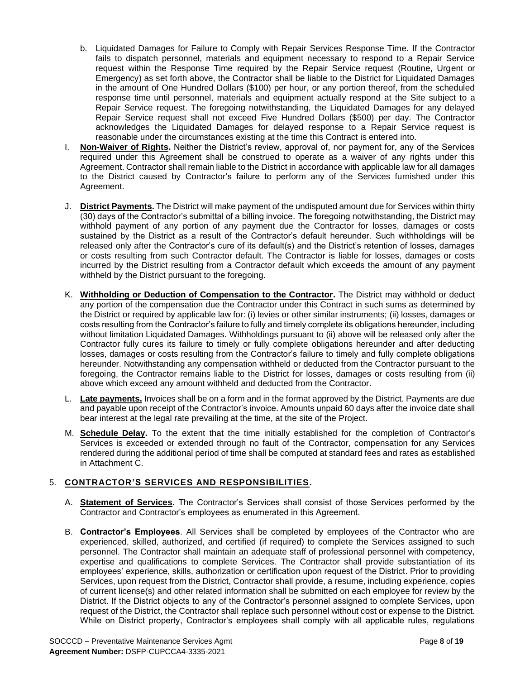- b. Liquidated Damages for Failure to Comply with Repair Services Response Time. If the Contractor fails to dispatch personnel, materials and equipment necessary to respond to a Repair Service request within the Response Time required by the Repair Service request (Routine, Urgent or Emergency) as set forth above, the Contractor shall be liable to the District for Liquidated Damages in the amount of One Hundred Dollars (\$100) per hour, or any portion thereof, from the scheduled response time until personnel, materials and equipment actually respond at the Site subject to a Repair Service request. The foregoing notwithstanding, the Liquidated Damages for any delayed Repair Service request shall not exceed Five Hundred Dollars (\$500) per day. The Contractor acknowledges the Liquidated Damages for delayed response to a Repair Service request is reasonable under the circumstances existing at the time this Contract is entered into.
- I. **Non-Waiver of Rights.** Neither the District's review, approval of, nor payment for, any of the Services required under this Agreement shall be construed to operate as a waiver of any rights under this Agreement. Contractor shall remain liable to the District in accordance with applicable law for all damages to the District caused by Contractor's failure to perform any of the Services furnished under this Agreement.
- J. **District Payments.** The District will make payment of the undisputed amount due for Services within thirty (30) days of the Contractor's submittal of a billing invoice. The foregoing notwithstanding, the District may withhold payment of any portion of any payment due the Contractor for losses, damages or costs sustained by the District as a result of the Contractor's default hereunder. Such withholdings will be released only after the Contractor's cure of its default(s) and the District's retention of losses, damages or costs resulting from such Contractor default. The Contractor is liable for losses, damages or costs incurred by the District resulting from a Contractor default which exceeds the amount of any payment withheld by the District pursuant to the foregoing.
- K. **Withholding or Deduction of Compensation to the Contractor.** The District may withhold or deduct any portion of the compensation due the Contractor under this Contract in such sums as determined by the District or required by applicable law for: (i) levies or other similar instruments; (ii) losses, damages or costs resulting from the Contractor's failure to fully and timely complete its obligations hereunder, including without limitation Liquidated Damages. Withholdings pursuant to (ii) above will be released only after the Contractor fully cures its failure to timely or fully complete obligations hereunder and after deducting losses, damages or costs resulting from the Contractor's failure to timely and fully complete obligations hereunder. Notwithstanding any compensation withheld or deducted from the Contractor pursuant to the foregoing, the Contractor remains liable to the District for losses, damages or costs resulting from (ii) above which exceed any amount withheld and deducted from the Contractor.
- L. **Late payments.** Invoices shall be on a form and in the format approved by the District. Payments are due and payable upon receipt of the Contractor's invoice. Amounts unpaid 60 days after the invoice date shall bear interest at the legal rate prevailing at the time, at the site of the Project.
- M. **Schedule Delay.** To the extent that the time initially established for the completion of Contractor's Services is exceeded or extended through no fault of the Contractor, compensation for any Services rendered during the additional period of time shall be computed at standard fees and rates as established in Attachment C.

## 5. **CONTRACTOR'S SERVICES AND RESPONSIBILITIES.**

- A. **Statement of Services.** The Contractor's Services shall consist of those Services performed by the Contractor and Contractor's employees as enumerated in this Agreement.
- B. **Contractor's Employees**. All Services shall be completed by employees of the Contractor who are experienced, skilled, authorized, and certified (if required) to complete the Services assigned to such personnel. The Contractor shall maintain an adequate staff of professional personnel with competency, expertise and qualifications to complete Services. The Contractor shall provide substantiation of its employees' experience, skills, authorization or certification upon request of the District. Prior to providing Services, upon request from the District, Contractor shall provide, a resume, including experience, copies of current license(s) and other related information shall be submitted on each employee for review by the District. If the District objects to any of the Contractor's personnel assigned to complete Services, upon request of the District, the Contractor shall replace such personnel without cost or expense to the District. While on District property, Contractor's employees shall comply with all applicable rules, regulations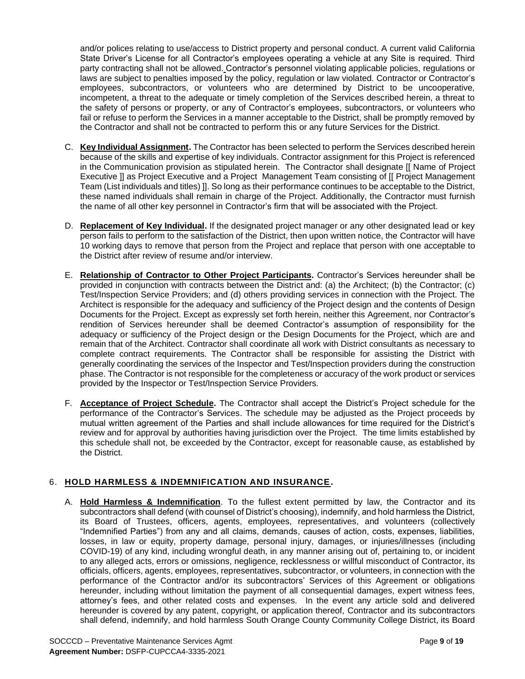and/or polices relating to use/access to District property and personal conduct. A current valid California State Driver's License for all Contractor's employees operating a vehicle at any Site is required. Third party contracting shall not be allowed. Contractor's personnel violating applicable policies, regulations or laws are subject to penalties imposed by the policy, regulation or law violated. Contractor or Contractor's employees, subcontractors, or volunteers who are determined by District to be uncooperative, incompetent, a threat to the adequate or timely completion of the Services described herein, a threat to the safety of persons or property, or any of Contractor's employees, subcontractors, or volunteers who fail or refuse to perform the Services in a manner acceptable to the District, shall be promptly removed by the Contractor and shall not be contracted to perform this or any future Services for the District.

- C. **Key Individual Assignment.** The Contractor has been selected to perform the Services described herein because of the skills and expertise of key individuals. Contractor assignment for this Project is referenced in the Communication provision as stipulated herein. The Contractor shall designate [[ Name of Project Executive ]] as Project Executive and a Project Management Team consisting of [[ Project Management Team (List individuals and titles) ]]. So long as their performance continues to be acceptable to the District, these named individuals shall remain in charge of the Project. Additionally, the Contractor must furnish the name of all other key personnel in Contractor's firm that will be associated with the Project.
- D. **Replacement of Key Individual.** If the designated project manager or any other designated lead or key person fails to perform to the satisfaction of the District, then upon written notice, the Contractor will have 10 working days to remove that person from the Project and replace that person with one acceptable to the District after review of resume and/or interview.
- E. **Relationship of Contractor to Other Project Participants.** Contractor's Services hereunder shall be provided in conjunction with contracts between the District and: (a) the Architect; (b) the Contractor; (c) Test/Inspection Service Providers; and (d) others providing services in connection with the Project. The Architect is responsible for the adequacy and sufficiency of the Project design and the contents of Design Documents for the Project. Except as expressly set forth herein, neither this Agreement, nor Contractor's rendition of Services hereunder shall be deemed Contractor's assumption of responsibility for the adequacy or sufficiency of the Project design or the Design Documents for the Project, which are and remain that of the Architect. Contractor shall coordinate all work with District consultants as necessary to complete contract requirements. The Contractor shall be responsible for assisting the District with generally coordinating the services of the Inspector and Test/Inspection providers during the construction phase. The Contractor is not responsible for the completeness or accuracy of the work product or services provided by the Inspector or Test/Inspection Service Providers.
- F. **Acceptance of Project Schedule.** The Contractor shall accept the District's Project schedule for the performance of the Contractor's Services. The schedule may be adjusted as the Project proceeds by mutual written agreement of the Parties and shall include allowances for time required for the District's review and for approval by authorities having jurisdiction over the Project. The time limits established by this schedule shall not, be exceeded by the Contractor, except for reasonable cause, as established by the District.

## 6. **HOLD HARMLESS & INDEMNIFICATION AND INSURANCE.**

A. **Hold Harmless & Indemnification**. To the fullest extent permitted by law, the Contractor and its subcontractors shall defend (with counsel of District's choosing), indemnify, and hold harmless the District, its Board of Trustees, officers, agents, employees, representatives, and volunteers (collectively "Indemnified Parties") from any and all claims, demands, causes of action, costs, expenses, liabilities, losses, in law or equity, property damage, personal injury, damages, or injuries/illnesses (including COVID-19) of any kind, including wrongful death, in any manner arising out of, pertaining to, or incident to any alleged acts, errors or omissions, negligence, recklessness or willful misconduct of Contractor, its officials, officers, agents, employees, representatives, subcontractor, or volunteers, in connection with the performance of the Contractor and/or its subcontractors' Services of this Agreement or obligations hereunder, including without limitation the payment of all consequential damages, expert witness fees, attorney's fees, and other related costs and expenses. In the event any article sold and delivered hereunder is covered by any patent, copyright, or application thereof, Contractor and its subcontractors shall defend, indemnify, and hold harmless South Orange County Community College District, its Board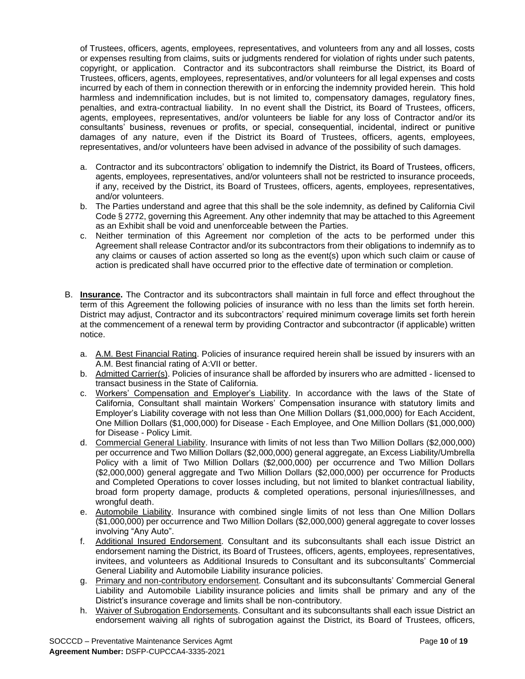of Trustees, officers, agents, employees, representatives, and volunteers from any and all losses, costs or expenses resulting from claims, suits or judgments rendered for violation of rights under such patents, copyright, or application. Contractor and its subcontractors shall reimburse the District, its Board of Trustees, officers, agents, employees, representatives, and/or volunteers for all legal expenses and costs incurred by each of them in connection therewith or in enforcing the indemnity provided herein. This hold harmless and indemnification includes, but is not limited to, compensatory damages, regulatory fines, penalties, and extra-contractual liability. In no event shall the District, its Board of Trustees, officers, agents, employees, representatives, and/or volunteers be liable for any loss of Contractor and/or its consultants' business, revenues or profits, or special, consequential, incidental, indirect or punitive damages of any nature, even if the District its Board of Trustees, officers, agents, employees, representatives, and/or volunteers have been advised in advance of the possibility of such damages.

- a. Contractor and its subcontractors' obligation to indemnify the District, its Board of Trustees, officers, agents, employees, representatives, and/or volunteers shall not be restricted to insurance proceeds, if any, received by the District, its Board of Trustees, officers, agents, employees, representatives, and/or volunteers.
- b. The Parties understand and agree that this shall be the sole indemnity, as defined by California Civil Code § 2772, governing this Agreement. Any other indemnity that may be attached to this Agreement as an Exhibit shall be void and unenforceable between the Parties.
- c. Neither termination of this Agreement nor completion of the acts to be performed under this Agreement shall release Contractor and/or its subcontractors from their obligations to indemnify as to any claims or causes of action asserted so long as the event(s) upon which such claim or cause of action is predicated shall have occurred prior to the effective date of termination or completion.
- B. **Insurance.** The Contractor and its subcontractors shall maintain in full force and effect throughout the term of this Agreement the following policies of insurance with no less than the limits set forth herein. District may adjust, Contractor and its subcontractors' required minimum coverage limits set forth herein at the commencement of a renewal term by providing Contractor and subcontractor (if applicable) written notice.
	- a. A.M. Best Financial Rating. Policies of insurance required herein shall be issued by insurers with an A.M. Best financial rating of A:VII or better.
	- b. Admitted Carrier(s). Policies of insurance shall be afforded by insurers who are admitted licensed to transact business in the State of California.
	- c. Workers' Compensation and Employer's Liability. In accordance with the laws of the State of California, Consultant shall maintain Workers' Compensation insurance with statutory limits and Employer's Liability coverage with not less than One Million Dollars (\$1,000,000) for Each Accident, One Million Dollars (\$1,000,000) for Disease - Each Employee, and One Million Dollars (\$1,000,000) for Disease - Policy Limit.
	- d. Commercial General Liability. Insurance with limits of not less than Two Million Dollars (\$2,000,000) per occurrence and Two Million Dollars (\$2,000,000) general aggregate, an Excess Liability/Umbrella Policy with a limit of Two Million Dollars (\$2,000,000) per occurrence and Two Million Dollars (\$2,000,000) general aggregate and Two Million Dollars (\$2,000,000) per occurrence for Products and Completed Operations to cover losses including, but not limited to blanket contractual liability, broad form property damage, products & completed operations, personal injuries/illnesses, and wrongful death.
	- e. Automobile Liability. Insurance with combined single limits of not less than One Million Dollars (\$1,000,000) per occurrence and Two Million Dollars (\$2,000,000) general aggregate to cover losses involving "Any Auto".
	- f. Additional Insured Endorsement. Consultant and its subconsultants shall each issue District an endorsement naming the District, its Board of Trustees, officers, agents, employees, representatives, invitees, and volunteers as Additional Insureds to Consultant and its subconsultants' Commercial General Liability and Automobile Liability insurance policies.
	- g. Primary and non-contributory endorsement. Consultant and its subconsultants' Commercial General Liability and Automobile Liability insurance policies and limits shall be primary and any of the District's insurance coverage and limits shall be non-contributory.
	- h. Waiver of Subrogation Endorsements. Consultant and its subconsultants shall each issue District an endorsement waiving all rights of subrogation against the District, its Board of Trustees, officers,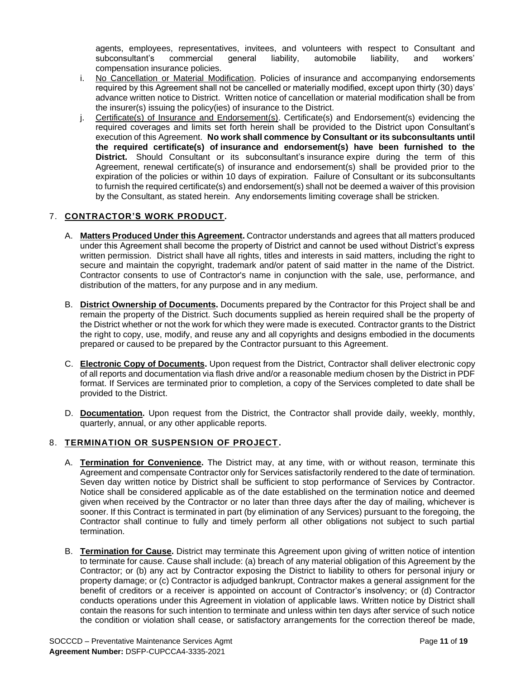agents, employees, representatives, invitees, and volunteers with respect to Consultant and subconsultant's commercial general liability, automobile liability, and workers' compensation insurance policies.

- i. No Cancellation or Material Modification. Policies of insurance and accompanying endorsements required by this Agreement shall not be cancelled or materially modified, except upon thirty (30) days' advance written notice to District. Written notice of cancellation or material modification shall be from the insurer(s) issuing the policy(ies) of insurance to the District.
- j. Certificate(s) of Insurance and Endorsement(s). Certificate(s) and Endorsement(s) evidencing the required coverages and limits set forth herein shall be provided to the District upon Consultant's execution of this Agreement. **No work shall commence by Consultant or its subconsultants until the required certificate(s) of insurance and endorsement(s) have been furnished to the District.** Should Consultant or its subconsultant's insurance expire during the term of this Agreement, renewal certificate(s) of insurance and endorsement(s) shall be provided prior to the expiration of the policies or within 10 days of expiration. Failure of Consultant or its subconsultants to furnish the required certificate(s) and endorsement(s) shall not be deemed a waiver of this provision by the Consultant, as stated herein. Any endorsements limiting coverage shall be stricken.

## 7. **CONTRACTOR'S WORK PRODUCT.**

- A. **Matters Produced Under this Agreement.** Contractor understands and agrees that all matters produced under this Agreement shall become the property of District and cannot be used without District's express written permission. District shall have all rights, titles and interests in said matters, including the right to secure and maintain the copyright, trademark and/or patent of said matter in the name of the District. Contractor consents to use of Contractor's name in conjunction with the sale, use, performance, and distribution of the matters, for any purpose and in any medium.
- B. **District Ownership of Documents.** Documents prepared by the Contractor for this Project shall be and remain the property of the District. Such documents supplied as herein required shall be the property of the District whether or not the work for which they were made is executed. Contractor grants to the District the right to copy, use, modify, and reuse any and all copyrights and designs embodied in the documents prepared or caused to be prepared by the Contractor pursuant to this Agreement.
- C. **Electronic Copy of Documents.** Upon request from the District, Contractor shall deliver electronic copy of all reports and documentation via flash drive and/or a reasonable medium chosen by the District in PDF format. If Services are terminated prior to completion, a copy of the Services completed to date shall be provided to the District.
- D. **Documentation.** Upon request from the District, the Contractor shall provide daily, weekly, monthly, quarterly, annual, or any other applicable reports.

### 8. **TERMINATION OR SUSPENSION OF PROJECT.**

- A. **Termination for Convenience.** The District may, at any time, with or without reason, terminate this Agreement and compensate Contractor only for Services satisfactorily rendered to the date of termination. Seven day written notice by District shall be sufficient to stop performance of Services by Contractor. Notice shall be considered applicable as of the date established on the termination notice and deemed given when received by the Contractor or no later than three days after the day of mailing, whichever is sooner. If this Contract is terminated in part (by elimination of any Services) pursuant to the foregoing, the Contractor shall continue to fully and timely perform all other obligations not subject to such partial termination.
- B. **Termination for Cause.** District may terminate this Agreement upon giving of written notice of intention to terminate for cause. Cause shall include: (a) breach of any material obligation of this Agreement by the Contractor; or (b) any act by Contractor exposing the District to liability to others for personal injury or property damage; or (c) Contractor is adjudged bankrupt, Contractor makes a general assignment for the benefit of creditors or a receiver is appointed on account of Contractor's insolvency; or (d) Contractor conducts operations under this Agreement in violation of applicable laws. Written notice by District shall contain the reasons for such intention to terminate and unless within ten days after service of such notice the condition or violation shall cease, or satisfactory arrangements for the correction thereof be made,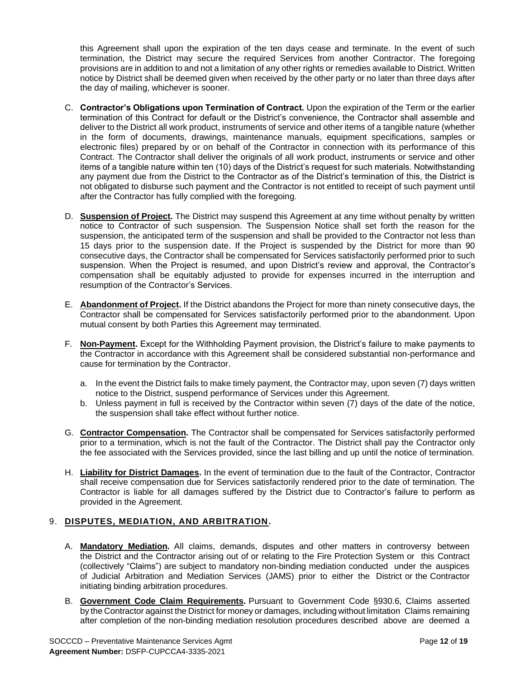this Agreement shall upon the expiration of the ten days cease and terminate. In the event of such termination, the District may secure the required Services from another Contractor. The foregoing provisions are in addition to and not a limitation of any other rights or remedies available to District. Written notice by District shall be deemed given when received by the other party or no later than three days after the day of mailing, whichever is sooner.

- C. **Contractor's Obligations upon Termination of Contract.** Upon the expiration of the Term or the earlier termination of this Contract for default or the District's convenience, the Contractor shall assemble and deliver to the District all work product, instruments of service and other items of a tangible nature (whether in the form of documents, drawings, maintenance manuals, equipment specifications, samples or electronic files) prepared by or on behalf of the Contractor in connection with its performance of this Contract. The Contractor shall deliver the originals of all work product, instruments or service and other items of a tangible nature within ten (10) days of the District's request for such materials. Notwithstanding any payment due from the District to the Contractor as of the District's termination of this, the District is not obligated to disburse such payment and the Contractor is not entitled to receipt of such payment until after the Contractor has fully complied with the foregoing.
- D. **Suspension of Project.** The District may suspend this Agreement at any time without penalty by written notice to Contractor of such suspension. The Suspension Notice shall set forth the reason for the suspension, the anticipated term of the suspension and shall be provided to the Contractor not less than 15 days prior to the suspension date. If the Project is suspended by the District for more than 90 consecutive days, the Contractor shall be compensated for Services satisfactorily performed prior to such suspension. When the Project is resumed, and upon District's review and approval, the Contractor's compensation shall be equitably adjusted to provide for expenses incurred in the interruption and resumption of the Contractor's Services.
- E. **Abandonment of Project.** If the District abandons the Project for more than ninety consecutive days, the Contractor shall be compensated for Services satisfactorily performed prior to the abandonment. Upon mutual consent by both Parties this Agreement may terminated.
- F. **Non-Payment.** Except for the Withholding Payment provision, the District's failure to make payments to the Contractor in accordance with this Agreement shall be considered substantial non-performance and cause for termination by the Contractor.
	- a. In the event the District fails to make timely payment, the Contractor may, upon seven (7) days written notice to the District, suspend performance of Services under this Agreement.
	- b. Unless payment in full is received by the Contractor within seven (7) days of the date of the notice, the suspension shall take effect without further notice.
- G. **Contractor Compensation.** The Contractor shall be compensated for Services satisfactorily performed prior to a termination, which is not the fault of the Contractor. The District shall pay the Contractor only the fee associated with the Services provided, since the last billing and up until the notice of termination.
- H. **Liability for District Damages.** In the event of termination due to the fault of the Contractor, Contractor shall receive compensation due for Services satisfactorily rendered prior to the date of termination. The Contractor is liable for all damages suffered by the District due to Contractor's failure to perform as provided in the Agreement.

## 9. **DISPUTES, MEDIATION, AND ARBITRATION.**

- A. **Mandatory Mediation.** All claims, demands, disputes and other matters in controversy between the District and the Contractor arising out of or relating to the Fire Protection System or this Contract (collectively "Claims") are subject to mandatory non-binding mediation conducted under the auspices of Judicial Arbitration and Mediation Services (JAMS) prior to either the District or the Contractor initiating binding arbitration procedures.
- B. **Government Code Claim Requirements.** Pursuant to Government Code §930.6, Claims asserted by the Contractor against the District for money or damages, including without limitation Claims remaining after completion of the non-binding mediation resolution procedures described above are deemed a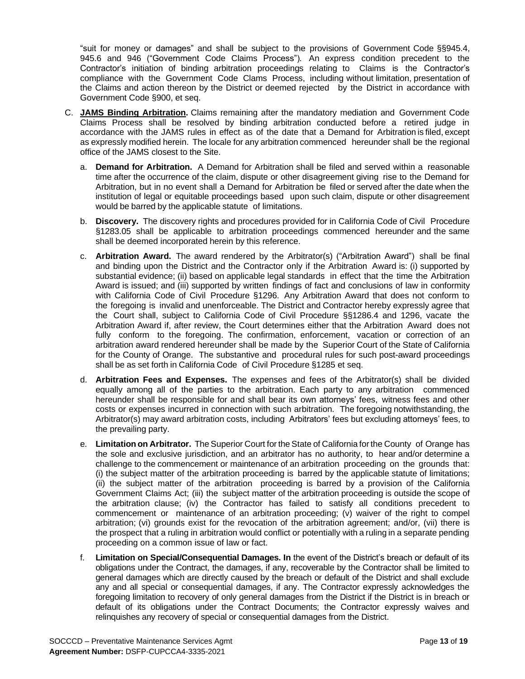"suit for money or damages" and shall be subject to the provisions of Government Code §§945.4, 945.6 and 946 ("Government Code Claims Process"). An express condition precedent to the Contractor's initiation of binding arbitration proceedings relating to Claims is the Contractor's compliance with the Government Code Clams Process, including without limitation, presentation of the Claims and action thereon by the District or deemed rejected by the District in accordance with Government Code §900, et seq.

- C. **JAMS Binding Arbitration.** Claims remaining after the mandatory mediation and Government Code Claims Process shall be resolved by binding arbitration conducted before a retired judge in accordance with the JAMS rules in effect as of the date that a Demand for Arbitration is filed, except as expressly modified herein. The locale for any arbitration commenced hereunder shall be the regional office of the JAMS closest to the Site.
	- a. **Demand for Arbitration.** A Demand for Arbitration shall be filed and served within a reasonable time after the occurrence of the claim, dispute or other disagreement giving rise to the Demand for Arbitration, but in no event shall a Demand for Arbitration be filed or served after the date when the institution of legal or equitable proceedings based upon such claim, dispute or other disagreement would be barred by the applicable statute of limitations.
	- b. **Discovery.** The discovery rights and procedures provided for in California Code of Civil Procedure §1283.05 shall be applicable to arbitration proceedings commenced hereunder and the same shall be deemed incorporated herein by this reference.
	- c. **Arbitration Award.** The award rendered by the Arbitrator(s) ("Arbitration Award") shall be final and binding upon the District and the Contractor only if the Arbitration Award is: (i) supported by substantial evidence; (ii) based on applicable legal standards in effect that the time the Arbitration Award is issued; and (iii) supported by written findings of fact and conclusions of law in conformity with California Code of Civil Procedure §1296. Any Arbitration Award that does not conform to the foregoing is invalid and unenforceable. The District and Contractor hereby expressly agree that the Court shall, subject to California Code of Civil Procedure §§1286.4 and 1296, vacate the Arbitration Award if, after review, the Court determines either that the Arbitration Award does not fully conform to the foregoing. The confirmation, enforcement, vacation or correction of an arbitration award rendered hereunder shall be made by the Superior Court of the State of California for the County of Orange. The substantive and procedural rules for such post-award proceedings shall be as set forth in California Code of Civil Procedure §1285 et seq.
	- d. **Arbitration Fees and Expenses.** The expenses and fees of the Arbitrator(s) shall be divided equally among all of the parties to the arbitration. Each party to any arbitration commenced hereunder shall be responsible for and shall bear its own attorneys' fees, witness fees and other costs or expenses incurred in connection with such arbitration. The foregoing notwithstanding, the Arbitrator(s) may award arbitration costs, including Arbitrators' fees but excluding attorneys' fees, to the prevailing party.
	- e. **Limitation on Arbitrator.** The Superior Courtfor the Stateof Californiaforthe County of Orange has the sole and exclusive jurisdiction, and an arbitrator has no authority, to hear and/or determine a challenge to the commencement or maintenance of an arbitration proceeding on the grounds that: (i) the subject matter of the arbitration proceeding is barred by the applicable statute of limitations; (ii) the subject matter of the arbitration proceeding is barred by a provision of the California Government Claims Act; (iii) the subject matter of the arbitration proceeding is outside the scope of the arbitration clause; (iv) the Contractor has failed to satisfy all conditions precedent to commencement or maintenance of an arbitration proceeding; (v) waiver of the right to compel arbitration; (vi) grounds exist for the revocation of the arbitration agreement; and/or, (vii) there is the prospect that a ruling in arbitration would conflict or potentially with a ruling in a separate pending proceeding on a common issue of law or fact.
	- f. **Limitation on Special/Consequential Damages. In** the event of the District's breach or default of its obligations under the Contract, the damages, if any, recoverable by the Contractor shall be limited to general damages which are directly caused by the breach or default of the District and shall exclude any and all special or consequential damages, if any. The Contractor expressly acknowledges the foregoing limitation to recovery of only general damages from the District if the District is in breach or default of its obligations under the Contract Documents; the Contractor expressly waives and relinquishes any recovery of special or consequential damages from the District.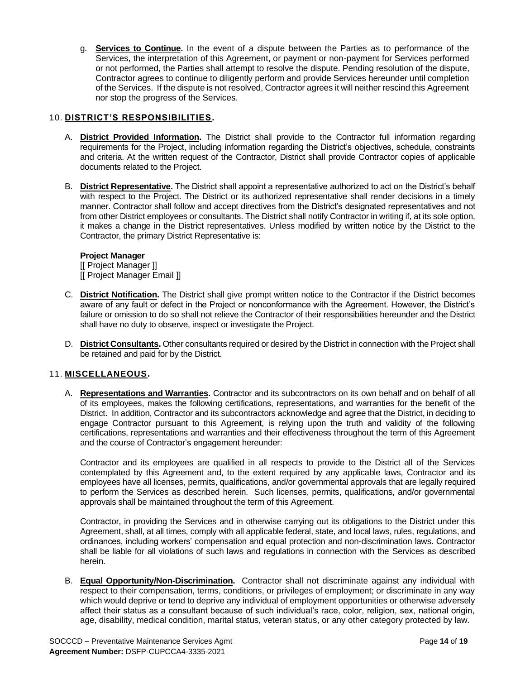g. **Services to Continue.** In the event of a dispute between the Parties as to performance of the Services, the interpretation of this Agreement, or payment or non-payment for Services performed or not performed, the Parties shall attempt to resolve the dispute. Pending resolution of the dispute, Contractor agrees to continue to diligently perform and provide Services hereunder until completion of the Services. If the dispute is not resolved, Contractor agrees it will neither rescind this Agreement nor stop the progress of the Services.

## 10. **DISTRICT'S RESPONSIBILITIES.**

- A. **District Provided Information.** The District shall provide to the Contractor full information regarding requirements for the Project, including information regarding the District's objectives, schedule, constraints and criteria. At the written request of the Contractor, District shall provide Contractor copies of applicable documents related to the Project.
- B. **District Representative.** The District shall appoint a representative authorized to act on the District's behalf with respect to the Project. The District or its authorized representative shall render decisions in a timely manner. Contractor shall follow and accept directives from the District's designated representatives and not from other District employees or consultants. The District shall notify Contractor in writing if, at its sole option, it makes a change in the District representatives. Unless modified by written notice by the District to the Contractor, the primary District Representative is:

#### **Project Manager**

[[ Project Manager ]] [[ Project Manager Email ]]

- C. **District Notification.** The District shall give prompt written notice to the Contractor if the District becomes aware of any fault or defect in the Project or nonconformance with the Agreement. However, the District's failure or omission to do so shall not relieve the Contractor of their responsibilities hereunder and the District shall have no duty to observe, inspect or investigate the Project.
- D. **District Consultants.** Other consultants required or desired by the District in connection with the Project shall be retained and paid for by the District.

### 11. **MISCELLANEOUS.**

A. **Representations and Warranties.** Contractor and its subcontractors on its own behalf and on behalf of all of its employees, makes the following certifications, representations, and warranties for the benefit of the District. In addition, Contractor and its subcontractors acknowledge and agree that the District, in deciding to engage Contractor pursuant to this Agreement, is relying upon the truth and validity of the following certifications, representations and warranties and their effectiveness throughout the term of this Agreement and the course of Contractor's engagement hereunder:

Contractor and its employees are qualified in all respects to provide to the District all of the Services contemplated by this Agreement and, to the extent required by any applicable laws, Contractor and its employees have all licenses, permits, qualifications, and/or governmental approvals that are legally required to perform the Services as described herein. Such licenses, permits, qualifications, and/or governmental approvals shall be maintained throughout the term of this Agreement.

Contractor, in providing the Services and in otherwise carrying out its obligations to the District under this Agreement, shall, at all times, comply with all applicable federal, state, and local laws, rules, regulations, and ordinances, including workers' compensation and equal protection and non-discrimination laws. Contractor shall be liable for all violations of such laws and regulations in connection with the Services as described herein.

B. **Equal Opportunity/Non-Discrimination.** Contractor shall not discriminate against any individual with respect to their compensation, terms, conditions, or privileges of employment; or discriminate in any way which would deprive or tend to deprive any individual of employment opportunities or otherwise adversely affect their status as a consultant because of such individual's race, color, religion, sex, national origin, age, disability, medical condition, marital status, veteran status, or any other category protected by law.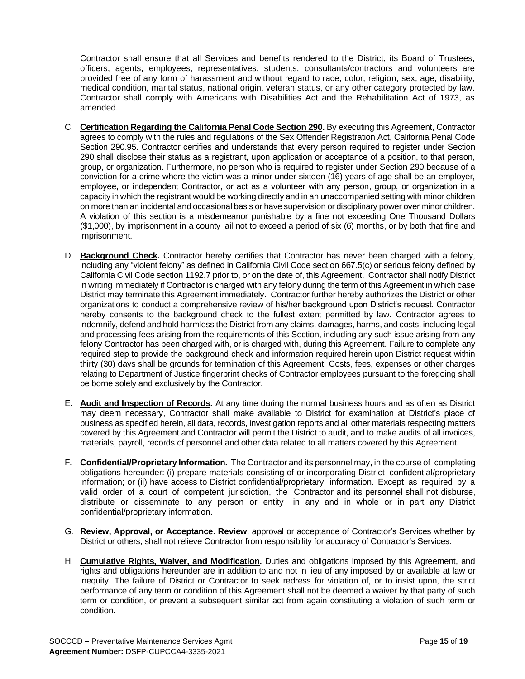Contractor shall ensure that all Services and benefits rendered to the District, its Board of Trustees, officers, agents, employees, representatives, students, consultants/contractors and volunteers are provided free of any form of harassment and without regard to race, color, religion, sex, age, disability, medical condition, marital status, national origin, veteran status, or any other category protected by law. Contractor shall comply with Americans with Disabilities Act and the Rehabilitation Act of 1973, as amended.

- C. **Certification Regarding the California Penal Code Section 290.** By executing this Agreement, Contractor agrees to comply with the rules and regulations of the Sex Offender Registration Act, California Penal Code Section 290.95. Contractor certifies and understands that every person required to register under Section 290 shall disclose their status as a registrant, upon application or acceptance of a position, to that person, group, or organization. Furthermore, no person who is required to register under Section 290 because of a conviction for a crime where the victim was a minor under sixteen (16) years of age shall be an employer, employee, or independent Contractor, or act as a volunteer with any person, group, or organization in a capacity in which the registrant would be working directly and in an unaccompanied setting with minor children on more than an incidental and occasional basis or have supervision or disciplinary power over minor children. A violation of this section is a misdemeanor punishable by a fine not exceeding One Thousand Dollars (\$1,000), by imprisonment in a county jail not to exceed a period of six (6) months, or by both that fine and imprisonment.
- D. **Background Check.** Contractor hereby certifies that Contractor has never been charged with a felony, including any "violent felony" as defined in California Civil Code section 667.5(c) or serious felony defined by California Civil Code section 1192.7 prior to, or on the date of, this Agreement. Contractor shall notify District in writing immediately if Contractor is charged with any felony during the term of this Agreement in which case District may terminate this Agreement immediately. Contractor further hereby authorizes the District or other organizations to conduct a comprehensive review of his/her background upon District's request. Contractor hereby consents to the background check to the fullest extent permitted by law. Contractor agrees to indemnify, defend and hold harmless the District from any claims, damages, harms, and costs, including legal and processing fees arising from the requirements of this Section, including any such issue arising from any felony Contractor has been charged with, or is charged with, during this Agreement. Failure to complete any required step to provide the background check and information required herein upon District request within thirty (30) days shall be grounds for termination of this Agreement. Costs, fees, expenses or other charges relating to Department of Justice fingerprint checks of Contractor employees pursuant to the foregoing shall be borne solely and exclusively by the Contractor.
- E. **Audit and Inspection of Records.** At any time during the normal business hours and as often as District may deem necessary, Contractor shall make available to District for examination at District's place of business as specified herein, all data, records, investigation reports and all other materials respecting matters covered by this Agreement and Contractor will permit the District to audit, and to make audits of all invoices, materials, payroll, records of personnel and other data related to all matters covered by this Agreement.
- F. Confidential/Proprietary Information. The Contractor and its personnel may, in the course of completing obligations hereunder: (i) prepare materials consisting of or incorporating District confidential/proprietary information; or (ii) have access to District confidential/proprietary information. Except as required by a valid order of a court of competent jurisdiction, the Contractor and its personnel shall not disburse, distribute or disseminate to any person or entity in any and in whole or in part any District confidential/proprietary information.
- G. **Review, Approval, or Acceptance. Review**, approval or acceptance of Contractor's Services whether by District or others, shall not relieve Contractor from responsibility for accuracy of Contractor's Services.
- H. **Cumulative Rights, Waiver, and Modification.** Duties and obligations imposed by this Agreement, and rights and obligations hereunder are in addition to and not in lieu of any imposed by or available at law or inequity. The failure of District or Contractor to seek redress for violation of, or to insist upon, the strict performance of any term or condition of this Agreement shall not be deemed a waiver by that party of such term or condition, or prevent a subsequent similar act from again constituting a violation of such term or condition.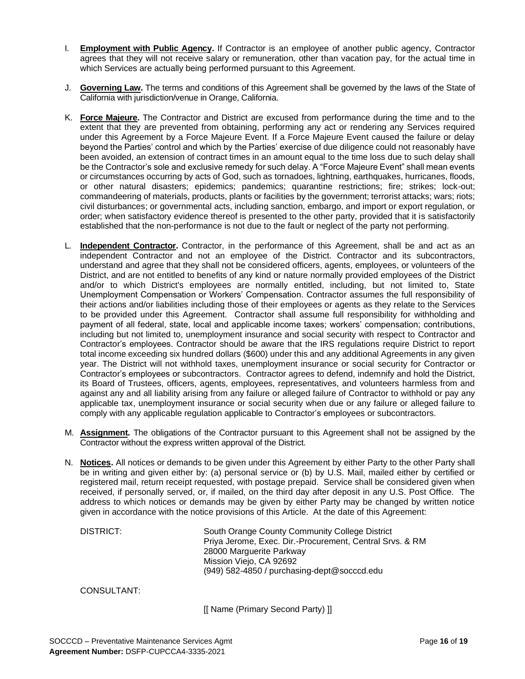- I. **Employment with Public Agency.** If Contractor is an employee of another public agency, Contractor agrees that they will not receive salary or remuneration, other than vacation pay, for the actual time in which Services are actually being performed pursuant to this Agreement.
- J. **Governing Law.** The terms and conditions of this Agreement shall be governed by the laws of the State of California with jurisdiction/venue in Orange, California.
- K. **Force Majeure.** The Contractor and District are excused from performance during the time and to the extent that they are prevented from obtaining, performing any act or rendering any Services required under this Agreement by a Force Majeure Event. If a Force Majeure Event caused the failure or delay beyond the Parties' control and which by the Parties' exercise of due diligence could not reasonably have been avoided, an extension of contract times in an amount equal to the time loss due to such delay shall be the Contractor's sole and exclusive remedy for such delay. A "Force Majeure Event" shall mean events or circumstances occurring by acts of God, such as tornadoes, lightning, earthquakes, hurricanes, floods, or other natural disasters; epidemics; pandemics; quarantine restrictions; fire; strikes; lock-out; commandeering of materials, products, plants or facilities by the government; terrorist attacks; wars; riots; civil disturbances; or governmental acts, including sanction, embargo, and import or export regulation, or order; when satisfactory evidence thereof is presented to the other party, provided that it is satisfactorily established that the non-performance is not due to the fault or neglect of the party not performing.
- L. **Independent Contractor.** Contractor, in the performance of this Agreement, shall be and act as an independent Contractor and not an employee of the District. Contractor and its subcontractors, understand and agree that they shall not be considered officers, agents, employees, or volunteers of the District, and are not entitled to benefits of any kind or nature normally provided employees of the District and/or to which District's employees are normally entitled, including, but not limited to, State Unemployment Compensation or Workers' Compensation. Contractor assumes the full responsibility of their actions and/or liabilities including those of their employees or agents as they relate to the Services to be provided under this Agreement. Contractor shall assume full responsibility for withholding and payment of all federal, state, local and applicable income taxes; workers' compensation; contributions, including but not limited to, unemployment insurance and social security with respect to Contractor and Contractor's employees. Contractor should be aware that the IRS regulations require District to report total income exceeding six hundred dollars (\$600) under this and any additional Agreements in any given year. The District will not withhold taxes, unemployment insurance or social security for Contractor or Contractor's employees or subcontractors. Contractor agrees to defend, indemnify and hold the District, its Board of Trustees, officers, agents, employees, representatives, and volunteers harmless from and against any and all liability arising from any failure or alleged failure of Contractor to withhold or pay any applicable tax, unemployment insurance or social security when due or any failure or alleged failure to comply with any applicable regulation applicable to Contractor's employees or subcontractors.
- M. **Assignment.** The obligations of the Contractor pursuant to this Agreement shall not be assigned by the Contractor without the express written approval of the District.
- N. **Notices.** All notices or demands to be given under this Agreement by either Party to the other Party shall be in writing and given either by: (a) personal service or (b) by U.S. Mail, mailed either by certified or registered mail, return receipt requested, with postage prepaid. Service shall be considered given when received, if personally served, or, if mailed, on the third day after deposit in any U.S. Post Office. The address to which notices or demands may be given by either Party may be changed by written notice given in accordance with the notice provisions of this Article. At the date of this Agreement:

| DISTRICT: | South Orange County Community College District           |
|-----------|----------------------------------------------------------|
|           | Priya Jerome, Exec. Dir.-Procurement, Central Srvs. & RM |
|           |                                                          |
|           | 28000 Marguerite Parkway                                 |
|           | Mission Viejo, CA 92692                                  |
|           | (949) 582-4850 / purchasing-dept@socccd.edu              |
|           |                                                          |

#### CONSULTANT:

[[ Name (Primary Second Party) ]]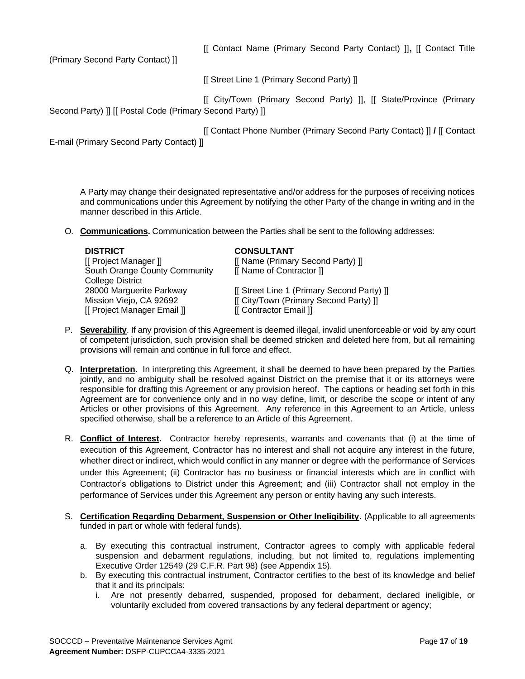[[ Contact Name (Primary Second Party Contact) ]]**,** [[ Contact Title

(Primary Second Party Contact) ]]

[[ Street Line 1 (Primary Second Party) ]]

[[ City/Town (Primary Second Party) ]], [[ State/Province (Primary Second Party) ]] [[ Postal Code (Primary Second Party) ]]

[[ Contact Phone Number (Primary Second Party Contact) ]] **/** [[ Contact

E-mail (Primary Second Party Contact) ]]

A Party may change their designated representative and/or address for the purposes of receiving notices and communications under this Agreement by notifying the other Party of the change in writing and in the manner described in this Article.

O. **Communications.** Communication between the Parties shall be sent to the following addresses:

| <b>DISTRICT</b>               | <b>CONSULTANT</b>                          |
|-------------------------------|--------------------------------------------|
| [[ Project Manager ]]         | [[ Name (Primary Second Party) ]]          |
| South Orange County Community | [[ Name of Contractor ]]                   |
| <b>College District</b>       |                                            |
| 28000 Marguerite Parkway      | [[ Street Line 1 (Primary Second Party) ]] |
| Mission Viejo, CA 92692       | [[ City/Town (Primary Second Party) ]]     |
| [[ Project Manager Email ]]   | [[ Contractor Email ]]                     |
|                               |                                            |

- P. **Severability**. If any provision of this Agreement is deemed illegal, invalid unenforceable or void by any court of competent jurisdiction, such provision shall be deemed stricken and deleted here from, but all remaining provisions will remain and continue in full force and effect.
- Q. **Interpretation**. In interpreting this Agreement, it shall be deemed to have been prepared by the Parties jointly, and no ambiguity shall be resolved against District on the premise that it or its attorneys were responsible for drafting this Agreement or any provision hereof. The captions or heading set forth in this Agreement are for convenience only and in no way define, limit, or describe the scope or intent of any Articles or other provisions of this Agreement. Any reference in this Agreement to an Article, unless specified otherwise, shall be a reference to an Article of this Agreement.
- R. **Conflict of Interest.** Contractor hereby represents, warrants and covenants that (i) at the time of execution of this Agreement, Contractor has no interest and shall not acquire any interest in the future, whether direct or indirect, which would conflict in any manner or degree with the performance of Services under this Agreement; (ii) Contractor has no business or financial interests which are in conflict with Contractor's obligations to District under this Agreement; and (iii) Contractor shall not employ in the performance of Services under this Agreement any person or entity having any such interests.
- S. **Certification Regarding Debarment, Suspension or Other Ineligibility.** (Applicable to all agreements funded in part or whole with federal funds).
	- a. By executing this contractual instrument, Contractor agrees to comply with applicable federal suspension and debarment regulations, including, but not limited to, regulations implementing Executive Order 12549 (29 C.F.R. Part 98) (see Appendix 15).
	- b. By executing this contractual instrument, Contractor certifies to the best of its knowledge and belief that it and its principals:
		- i. Are not presently debarred, suspended, proposed for debarment, declared ineligible, or voluntarily excluded from covered transactions by any federal department or agency;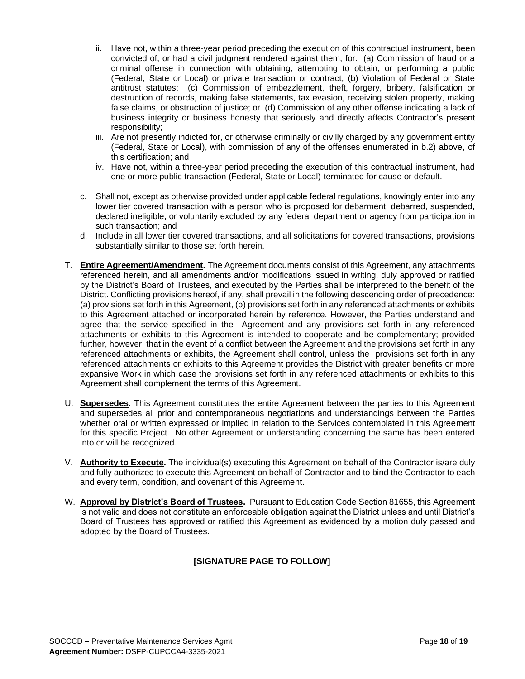- ii. Have not, within a three-year period preceding the execution of this contractual instrument, been convicted of, or had a civil judgment rendered against them, for: (a) Commission of fraud or a criminal offense in connection with obtaining, attempting to obtain, or performing a public (Federal, State or Local) or private transaction or contract; (b) Violation of Federal or State antitrust statutes; (c) Commission of embezzlement, theft, forgery, bribery, falsification or destruction of records, making false statements, tax evasion, receiving stolen property, making false claims, or obstruction of justice; or (d) Commission of any other offense indicating a lack of business integrity or business honesty that seriously and directly affects Contractor's present responsibility;
- iii. Are not presently indicted for, or otherwise criminally or civilly charged by any government entity (Federal, State or Local), with commission of any of the offenses enumerated in b.2) above, of this certification; and
- iv. Have not, within a three-year period preceding the execution of this contractual instrument, had one or more public transaction (Federal, State or Local) terminated for cause or default.
- c. Shall not, except as otherwise provided under applicable federal regulations, knowingly enter into any lower tier covered transaction with a person who is proposed for debarment, debarred, suspended, declared ineligible, or voluntarily excluded by any federal department or agency from participation in such transaction; and
- d. Include in all lower tier covered transactions, and all solicitations for covered transactions, provisions substantially similar to those set forth herein.
- T. **Entire Agreement/Amendment.** The Agreement documents consist of this Agreement, any attachments referenced herein, and all amendments and/or modifications issued in writing, duly approved or ratified by the District's Board of Trustees, and executed by the Parties shall be interpreted to the benefit of the District. Conflicting provisions hereof, if any, shall prevail in the following descending order of precedence: (a) provisions set forth in this Agreement, (b) provisions set forth in any referenced attachments or exhibits to this Agreement attached or incorporated herein by reference. However, the Parties understand and agree that the service specified in the Agreement and any provisions set forth in any referenced attachments or exhibits to this Agreement is intended to cooperate and be complementary; provided further, however, that in the event of a conflict between the Agreement and the provisions set forth in any referenced attachments or exhibits, the Agreement shall control, unless the provisions set forth in any referenced attachments or exhibits to this Agreement provides the District with greater benefits or more expansive Work in which case the provisions set forth in any referenced attachments or exhibits to this Agreement shall complement the terms of this Agreement.
- U. **Supersedes.** This Agreement constitutes the entire Agreement between the parties to this Agreement and supersedes all prior and contemporaneous negotiations and understandings between the Parties whether oral or written expressed or implied in relation to the Services contemplated in this Agreement for this specific Project. No other Agreement or understanding concerning the same has been entered into or will be recognized.
- V. **Authority to Execute.** The individual(s) executing this Agreement on behalf of the Contractor is/are duly and fully authorized to execute this Agreement on behalf of Contractor and to bind the Contractor to each and every term, condition, and covenant of this Agreement.
- W. **Approval by District's Board of Trustees.** Pursuant to Education Code Section 81655, this Agreement is not valid and does not constitute an enforceable obligation against the District unless and until District's Board of Trustees has approved or ratified this Agreement as evidenced by a motion duly passed and adopted by the Board of Trustees.

## **[SIGNATURE PAGE TO FOLLOW]**